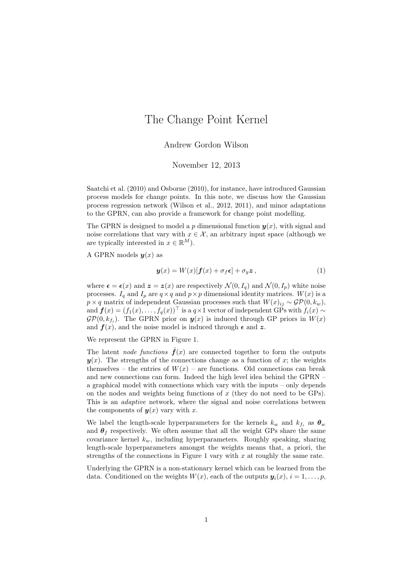## The Change Point Kernel

Andrew Gordon Wilson

November 12, 2013

Saatchi et al. (2010) and Osborne (2010), for instance, have introduced Gaussian process models for change points. In this note, we discuss how the Gaussian process regression network (Wilson et al., 2012, 2011), and minor adaptations to the GPRN, can also provide a framework for change point modelling.

The GPRN is designed to model a p dimensional function  $\mathbf{y}(x)$ , with signal and noise correlations that vary with  $x \in \mathcal{X}$ , an arbitrary input space (although we are typically interested in  $x \in \mathbb{R}^M$ ).

A GPRN models  $y(x)$  as

$$
\mathbf{y}(x) = W(x)[\mathbf{f}(x) + \sigma_f \boldsymbol{\epsilon}] + \sigma_y \mathbf{z},\tag{1}
$$

where  $\epsilon = \epsilon(x)$  and  $z = z(x)$  are respectively  $\mathcal{N}(0, I_q)$  and  $\mathcal{N}(0, I_p)$  white noise processes.  $I_q$  and  $I_p$  are  $q \times q$  and  $p \times p$  dimensional identity matrices.  $W(x)$  is a  $p \times q$  matrix of independent Gaussian processes such that  $W(x)_{ij} \sim \mathcal{GP}(0, k_w)$ , and  $f(x) = (f_1(x), \ldots, f_q(x))^{\top}$  is a  $q \times 1$  vector of independent GPs with  $f_i(x) \sim$  $\mathcal{GP}(0, k_{f_i})$ . The GPRN prior on  $\mathbf{y}(x)$  is induced through GP priors in  $W(x)$ and  $f(x)$ , and the noise model is induced through  $\epsilon$  and z.

We represent the GPRN in Figure 1.

The latent node functions  $\hat{f}(x)$  are connected together to form the outputs  $y(x)$ . The strengths of the connections change as a function of x; the weights themselves – the entries of  $W(x)$  – are functions. Old connections can break and new connections can form. Indeed the high level idea behind the GPRN – a graphical model with connections which vary with the inputs – only depends on the nodes and weights being functions of  $x$  (they do not need to be GPs). This is an *adaptive* network, where the signal and noise correlations between the components of  $y(x)$  vary with x.

We label the length-scale hyperparameters for the kernels  $k_w$  and  $k_{f_i}$  as  $\theta_w$ and  $\theta_f$  respectively. We often assume that all the weight GPs share the same covariance kernel  $k_w$ , including hyperparameters. Roughly speaking, sharing length-scale hyperparameters amongst the weights means that, a priori, the strengths of the connections in Figure 1 vary with  $x$  at roughly the same rate.

Underlying the GPRN is a non-stationary kernel which can be learned from the data. Conditioned on the weights  $W(x)$ , each of the outputs  $y_i(x)$ ,  $i = 1, \ldots, p$ .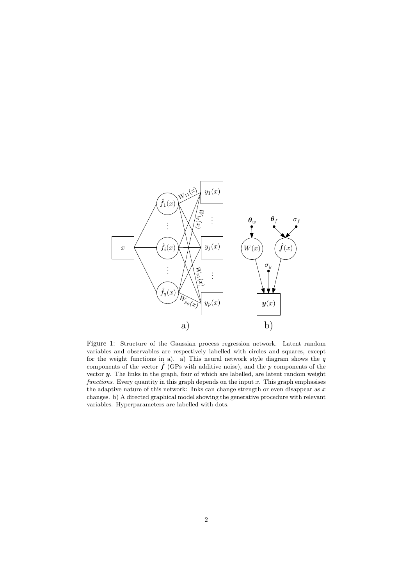

Figure 1: Structure of the Gaussian process regression network. Latent random variables and observables are respectively labelled with circles and squares, except for the weight functions in a). a) This neural network style diagram shows the  $q$ components of the vector  $\hat{f}$  (GPs with additive noise), and the p components of the vector  $y$ . The links in the graph, four of which are labelled, are latent random weight functions. Every quantity in this graph depends on the input  $x$ . This graph emphasises the adaptive nature of this network: links can change strength or even disappear as  $x$ changes. b) A directed graphical model showing the generative procedure with relevant variables. Hyperparameters are labelled with dots.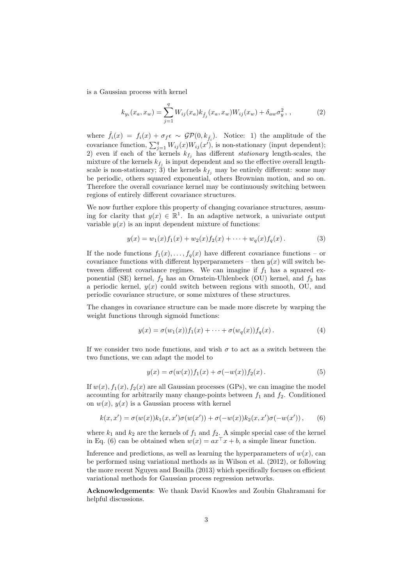is a Gaussian process with kernel

$$
k_{y_i}(x_a, x_w) = \sum_{j=1}^q W_{ij}(x_a) k_{\hat{f}_j}(x_a, x_w) W_{ij}(x_w) + \delta_{aw} \sigma_y^2 , \qquad (2)
$$

where  $\hat{f}_i(x) = f_i(x) + \sigma_f \epsilon \sim \mathcal{GP}(0, k_{\hat{f}_i})$ . Notice: 1) the amplitude of the covariance function,  $\sum_{j=1}^{q} W_{ij}(x)W_{ij}(x')$ , is non-stationary (input dependent); 2) even if each of the kernels  $k_{f_j}$  has different stationary length-scales, the mixture of the kernels  $k_{f_j}$  is input dependent and so the effective overall lengthscale is non-stationary; 3) the kernels  $k_{f_j}$  may be entirely different: some may be periodic, others squared exponential, others Brownian motion, and so on. Therefore the overall covariance kernel may be continuously switching between regions of entirely different covariance structures.

We now further explore this property of changing covariance structures, assuming for clarity that  $y(x) \in \mathbb{R}^1$ . In an adaptive network, a univariate output variable  $y(x)$  is an input dependent mixture of functions:

$$
y(x) = w_1(x)f_1(x) + w_2(x)f_2(x) + \cdots + w_q(x)f_q(x).
$$
 (3)

If the node functions  $f_1(x), \ldots, f_q(x)$  have different covariance functions – or covariance functions with different hyperparameters – then  $y(x)$  will switch between different covariance regimes. We can imagine if  $f_1$  has a squared exponential (SE) kernel,  $f_2$  has an Ornstein-Uhlenbeck (OU) kernel, and  $f_3$  has a periodic kernel,  $y(x)$  could switch between regions with smooth, OU, and periodic covariance structure, or some mixtures of these structures.

The changes in covariance structure can be made more discrete by warping the weight functions through sigmoid functions:

$$
y(x) = \sigma(w_1(x))f_1(x) + \cdots + \sigma(w_q(x))f_q(x). \tag{4}
$$

If we consider two node functions, and wish  $\sigma$  to act as a switch between the two functions, we can adapt the model to

$$
y(x) = \sigma(w(x))f_1(x) + \sigma(-w(x))f_2(x).
$$
 (5)

If  $w(x)$ ,  $f_1(x)$ ,  $f_2(x)$  are all Gaussian processes (GPs), we can imagine the model accounting for arbitrarily many change-points between  $f_1$  and  $f_2$ . Conditioned on  $w(x)$ ,  $y(x)$  is a Gaussian process with kernel

$$
k(x, x') = \sigma(w(x))k_1(x, x')\sigma(w(x')) + \sigma(-w(x))k_2(x, x')\sigma(-w(x')), \qquad (6)
$$

where  $k_1$  and  $k_2$  are the kernels of  $f_1$  and  $f_2$ . A simple special case of the kernel in Eq. (6) can be obtained when  $w(x) = ax^{\top}x + b$ , a simple linear function.

Inference and predictions, as well as learning the hyperparameters of  $w(x)$ , can be performed using variational methods as in Wilson et al. (2012), or following the more recent Nguyen and Bonilla (2013) which specifically focuses on efficient variational methods for Gaussian process regression networks.

Acknowledgements: We thank David Knowles and Zoubin Ghahramani for helpful discussions.